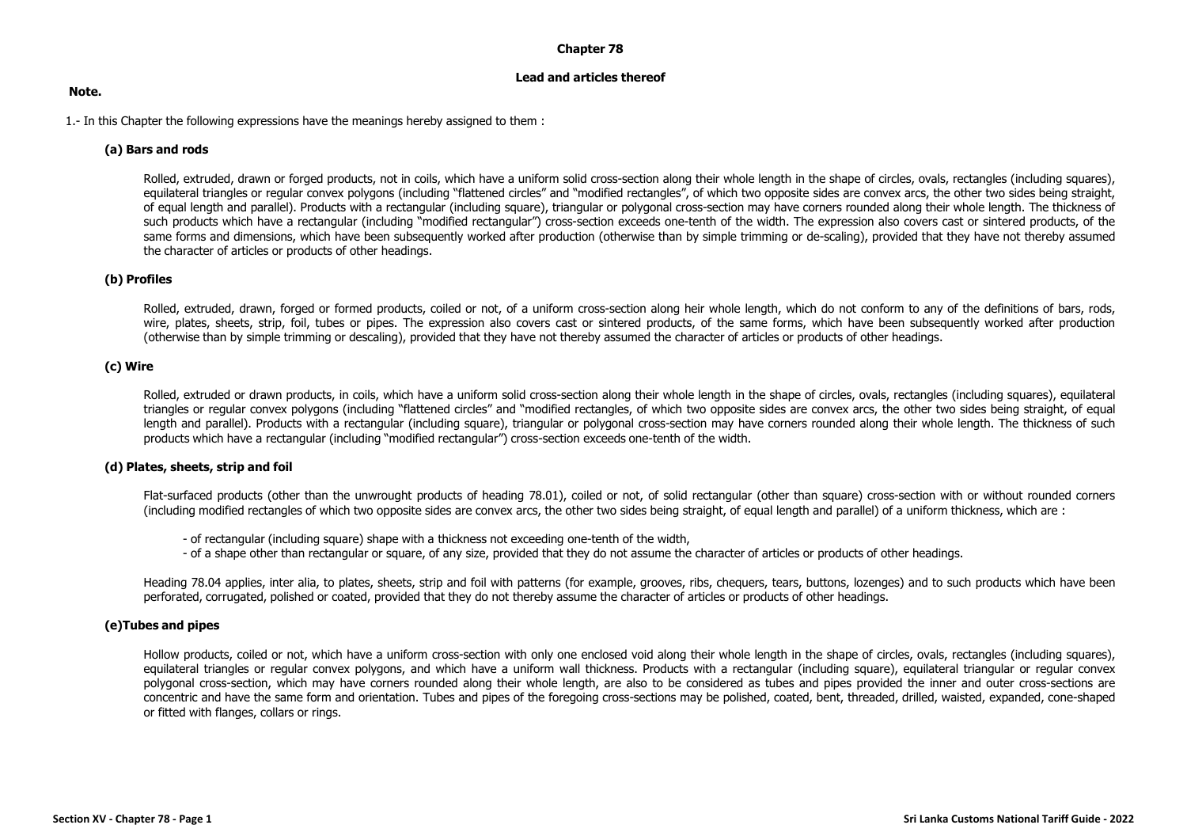#### **Chapter 78**

#### **Lead and articles thereof**

#### **Note.**

1.- In this Chapter the following expressions have the meanings hereby assigned to them :

## **(a) Bars and rods**

Rolled, extruded, drawn or forged products, not in coils, which have a uniform solid cross-section along their whole length in the shape of circles, ovals, rectangles (including squares), equilateral triangles or regular convex polygons (including "flattened circles" and "modified rectangles", of which two opposite sides are convex arcs, the other two sides being straight, of equal length and parallel). Products with a rectangular (including square), triangular or polygonal cross-section may have corners rounded along their whole length. The thickness of such products which have a rectangular (including "modified rectangular") cross-section exceeds one-tenth of the width. The expression also covers cast or sintered products, of the same forms and dimensions, which have been subsequently worked after production (otherwise than by simple trimming or de-scaling), provided that they have not thereby assumed the character of articles or products of other headings.

## **(b) Profiles**

Rolled, extruded, drawn, forged or formed products, coiled or not, of a uniform cross-section along heir whole length, which do not conform to any of the definitions of bars, rods, wire, plates, sheets, strip, foil, tubes or pipes. The expression also covers cast or sintered products, of the same forms, which have been subsequently worked after production (otherwise than by simple trimming or descaling), provided that they have not thereby assumed the character of articles or products of other headings.

## **(c) Wire**

Rolled, extruded or drawn products, in coils, which have a uniform solid cross-section along their whole length in the shape of circles, ovals, rectangles (including squares), equilateral triangles or regular convex polygons (including "flattened circles" and "modified rectangles, of which two opposite sides are convex arcs, the other two sides being straight, of equal length and parallel). Products with a rectangular (including square), triangular or polygonal cross-section may have corners rounded along their whole length. The thickness of such products which have a rectangular (including "modified rectangular") cross-section exceeds one-tenth of the width.

#### **(d) Plates, sheets, strip and foil**

Flat-surfaced products (other than the unwrought products of heading 78.01), coiled or not, of solid rectangular (other than square) cross-section with or without rounded corners (including modified rectangles of which two opposite sides are convex arcs, the other two sides being straight, of equal length and parallel) of a uniform thickness, which are :

- of rectangular (including square) shape with a thickness not exceeding one-tenth of the width,
- of a shape other than rectangular or square, of any size, provided that they do not assume the character of articles or products of other headings.

Heading 78.04 applies, inter alia, to plates, sheets, strip and foil with patterns (for example, grooves, ribs, chequers, tears, buttons, lozenges) and to such products which have been perforated, corrugated, polished or coated, provided that they do not thereby assume the character of articles or products of other headings.

## **(e)Tubes and pipes**

Hollow products, coiled or not, which have a uniform cross-section with only one enclosed void along their whole length in the shape of circles, ovals, rectangles (including squares), equilateral triangles or regular convex polygons, and which have a uniform wall thickness. Products with a rectangular (including square), equilateral triangular or regular convex polygonal cross-section, which may have corners rounded along their whole length, are also to be considered as tubes and pipes provided the inner and outer cross-sections are concentric and have the same form and orientation. Tubes and pipes of the foregoing cross-sections may be polished, coated, bent, threaded, drilled, waisted, expanded, cone-shaped or fitted with flanges, collars or rings.